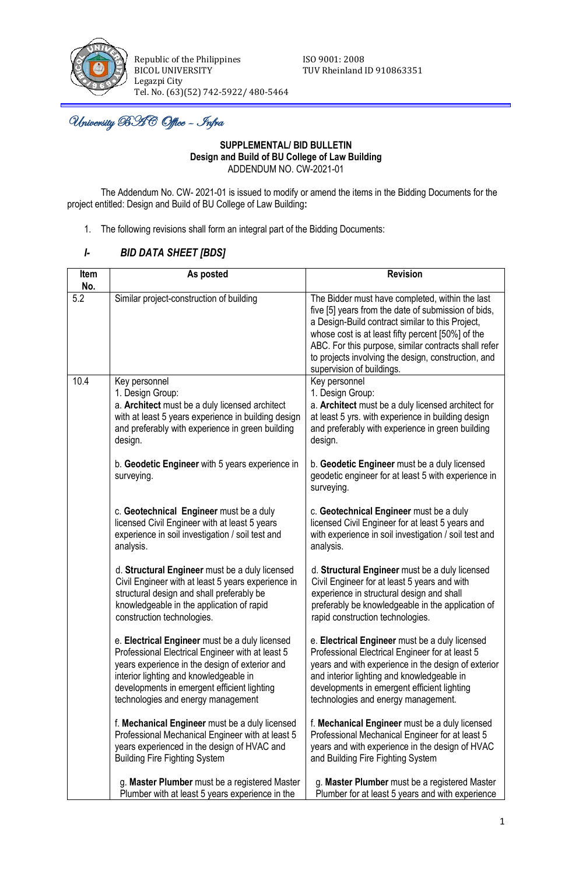

Republic of the Philippines **ISO** 9001: 2008 BICOL UNIVERSITY TUV Rheinland ID 910863351 Legazpi City Tel. No. (63)(52) 742-5922/ 480-5464

j University BAC Office – Infra

#### **SUPPLEMENTAL/ BID BULLETIN Design and Build of BU College of Law Building** ADDENDUM NO. CW-2021-01

The Addendum No. CW- 2021-01 is issued to modify or amend the items in the Bidding Documents for the project entitled: Design and Build of BU College of Law Building**:**

1. The following revisions shall form an integral part of the Bidding Documents:

# *I- BID DATA SHEET [BDS]*

| Item<br>No. | As posted                                                                                                                                                                                                                                                                           | <b>Revision</b>                                                                                                                                                                                                                                                                                                                                             |  |  |
|-------------|-------------------------------------------------------------------------------------------------------------------------------------------------------------------------------------------------------------------------------------------------------------------------------------|-------------------------------------------------------------------------------------------------------------------------------------------------------------------------------------------------------------------------------------------------------------------------------------------------------------------------------------------------------------|--|--|
| 5.2         | Similar project-construction of building                                                                                                                                                                                                                                            | The Bidder must have completed, within the last<br>five [5] years from the date of submission of bids,<br>a Design-Build contract similar to this Project,<br>whose cost is at least fifty percent [50%] of the<br>ABC. For this purpose, similar contracts shall refer<br>to projects involving the design, construction, and<br>supervision of buildings. |  |  |
| 10.4        | Key personnel<br>1. Design Group:<br>a. Architect must be a duly licensed architect<br>with at least 5 years experience in building design<br>and preferably with experience in green building<br>design.                                                                           | Key personnel<br>1. Design Group:<br>a. Architect must be a duly licensed architect for<br>at least 5 yrs. with experience in building design<br>and preferably with experience in green building<br>design.                                                                                                                                                |  |  |
|             | b. Geodetic Engineer with 5 years experience in<br>surveying.                                                                                                                                                                                                                       | b. Geodetic Engineer must be a duly licensed<br>geodetic engineer for at least 5 with experience in<br>surveying.                                                                                                                                                                                                                                           |  |  |
|             | c. Geotechnical Engineer must be a duly<br>licensed Civil Engineer with at least 5 years<br>experience in soil investigation / soil test and<br>analysis.                                                                                                                           | c. Geotechnical Engineer must be a duly<br>licensed Civil Engineer for at least 5 years and<br>with experience in soil investigation / soil test and<br>analysis.                                                                                                                                                                                           |  |  |
|             | d. Structural Engineer must be a duly licensed<br>Civil Engineer with at least 5 years experience in<br>structural design and shall preferably be<br>knowledgeable in the application of rapid<br>construction technologies.                                                        | d. Structural Engineer must be a duly licensed<br>Civil Engineer for at least 5 years and with<br>experience in structural design and shall<br>preferably be knowledgeable in the application of<br>rapid construction technologies.                                                                                                                        |  |  |
|             | e. Electrical Engineer must be a duly licensed<br>Professional Electrical Engineer with at least 5<br>years experience in the design of exterior and<br>interior lighting and knowledgeable in<br>developments in emergent efficient lighting<br>technologies and energy management | e. Electrical Engineer must be a duly licensed<br>Professional Electrical Engineer for at least 5<br>years and with experience in the design of exterior<br>and interior lighting and knowledgeable in<br>developments in emergent efficient lighting<br>technologies and energy management.                                                                |  |  |
|             | f. Mechanical Engineer must be a duly licensed<br>Professional Mechanical Engineer with at least 5<br>years experienced in the design of HVAC and<br><b>Building Fire Fighting System</b>                                                                                           | f. Mechanical Engineer must be a duly licensed<br>Professional Mechanical Engineer for at least 5<br>years and with experience in the design of HVAC<br>and Building Fire Fighting System                                                                                                                                                                   |  |  |
|             | g. Master Plumber must be a registered Master<br>Plumber with at least 5 years experience in the                                                                                                                                                                                    | g. Master Plumber must be a registered Master<br>Plumber for at least 5 years and with experience                                                                                                                                                                                                                                                           |  |  |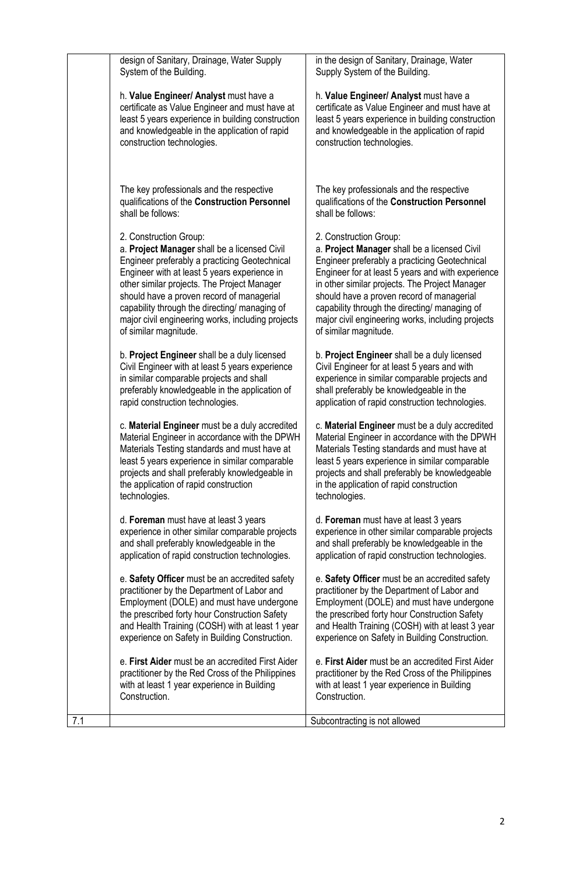|     | design of Sanitary, Drainage, Water Supply<br>System of the Building.                                                                                                                                                                                                                                                                                                                              | in the design of Sanitary, Drainage, Water<br>Supply System of the Building.                                                                                                                                                                                                                                                                                                                               |
|-----|----------------------------------------------------------------------------------------------------------------------------------------------------------------------------------------------------------------------------------------------------------------------------------------------------------------------------------------------------------------------------------------------------|------------------------------------------------------------------------------------------------------------------------------------------------------------------------------------------------------------------------------------------------------------------------------------------------------------------------------------------------------------------------------------------------------------|
|     | h. Value Engineer/ Analyst must have a<br>certificate as Value Engineer and must have at<br>least 5 years experience in building construction<br>and knowledgeable in the application of rapid<br>construction technologies.                                                                                                                                                                       | h. Value Engineer/ Analyst must have a<br>certificate as Value Engineer and must have at<br>least 5 years experience in building construction<br>and knowledgeable in the application of rapid<br>construction technologies.                                                                                                                                                                               |
|     | The key professionals and the respective<br>qualifications of the Construction Personnel<br>shall be follows:                                                                                                                                                                                                                                                                                      | The key professionals and the respective<br>qualifications of the Construction Personnel<br>shall be follows:                                                                                                                                                                                                                                                                                              |
|     | 2. Construction Group:<br>a. Project Manager shall be a licensed Civil<br>Engineer preferably a practicing Geotechnical<br>Engineer with at least 5 years experience in<br>other similar projects. The Project Manager<br>should have a proven record of managerial<br>capability through the directing/ managing of<br>major civil engineering works, including projects<br>of similar magnitude. | 2. Construction Group:<br>a. Project Manager shall be a licensed Civil<br>Engineer preferably a practicing Geotechnical<br>Engineer for at least 5 years and with experience<br>in other similar projects. The Project Manager<br>should have a proven record of managerial<br>capability through the directing/ managing of<br>major civil engineering works, including projects<br>of similar magnitude. |
|     | b. Project Engineer shall be a duly licensed<br>Civil Engineer with at least 5 years experience<br>in similar comparable projects and shall<br>preferably knowledgeable in the application of<br>rapid construction technologies.                                                                                                                                                                  | b. Project Engineer shall be a duly licensed<br>Civil Engineer for at least 5 years and with<br>experience in similar comparable projects and<br>shall preferably be knowledgeable in the<br>application of rapid construction technologies.                                                                                                                                                               |
|     | c. Material Engineer must be a duly accredited<br>Material Engineer in accordance with the DPWH<br>Materials Testing standards and must have at<br>least 5 years experience in similar comparable<br>projects and shall preferably knowledgeable in<br>the application of rapid construction<br>technologies.                                                                                      | c. Material Engineer must be a duly accredited<br>Material Engineer in accordance with the DPWH<br>Materials Testing standards and must have at<br>least 5 years experience in similar comparable<br>projects and shall preferably be knowledgeable<br>in the application of rapid construction<br>technologies.                                                                                           |
|     | d. Foreman must have at least 3 years<br>experience in other similar comparable projects<br>and shall preferably knowledgeable in the<br>application of rapid construction technologies.                                                                                                                                                                                                           | d. Foreman must have at least 3 years<br>experience in other similar comparable projects<br>and shall preferably be knowledgeable in the<br>application of rapid construction technologies.                                                                                                                                                                                                                |
|     | e. Safety Officer must be an accredited safety<br>practitioner by the Department of Labor and<br>Employment (DOLE) and must have undergone<br>the prescribed forty hour Construction Safety<br>and Health Training (COSH) with at least 1 year<br>experience on Safety in Building Construction.                                                                                                   | e. Safety Officer must be an accredited safety<br>practitioner by the Department of Labor and<br>Employment (DOLE) and must have undergone<br>the prescribed forty hour Construction Safety<br>and Health Training (COSH) with at least 3 year<br>experience on Safety in Building Construction.                                                                                                           |
|     | e. First Aider must be an accredited First Aider<br>practitioner by the Red Cross of the Philippines<br>with at least 1 year experience in Building<br>Construction.                                                                                                                                                                                                                               | e. First Aider must be an accredited First Aider<br>practitioner by the Red Cross of the Philippines<br>with at least 1 year experience in Building<br>Construction.                                                                                                                                                                                                                                       |
| 7.1 |                                                                                                                                                                                                                                                                                                                                                                                                    | Subcontracting is not allowed                                                                                                                                                                                                                                                                                                                                                                              |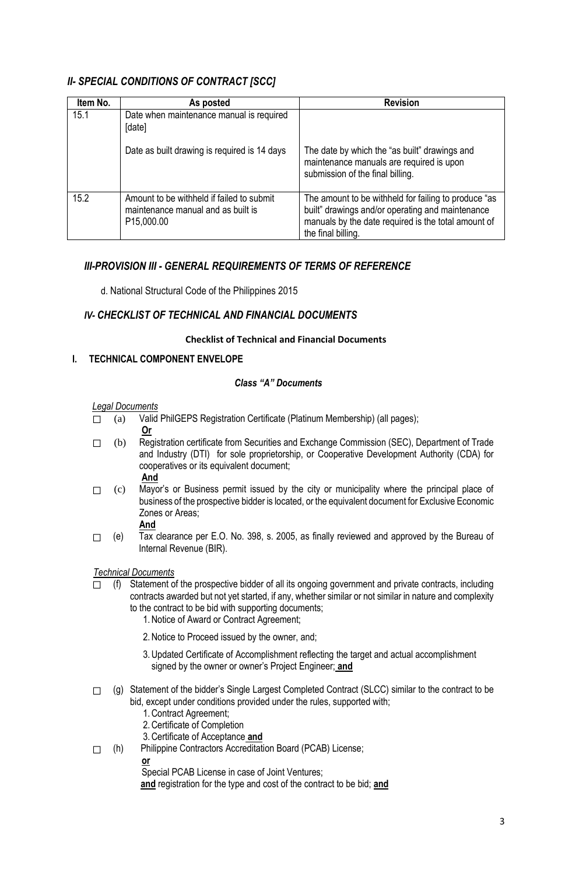# *II- SPECIAL CONDITIONS OF CONTRACT [SCC]*

| Item No. | As posted                                                                                                  | <b>Revision</b>                                                                                                                                                                       |
|----------|------------------------------------------------------------------------------------------------------------|---------------------------------------------------------------------------------------------------------------------------------------------------------------------------------------|
| 15.1     | Date when maintenance manual is required<br>[date]                                                         |                                                                                                                                                                                       |
|          | Date as built drawing is required is 14 days                                                               | The date by which the "as built" drawings and<br>maintenance manuals are required is upon<br>submission of the final billing.                                                         |
| 15.2     | Amount to be withheld if failed to submit<br>maintenance manual and as built is<br>P <sub>15</sub> ,000.00 | The amount to be withheld for failing to produce "as<br>built" drawings and/or operating and maintenance<br>manuals by the date required is the total amount of<br>the final billing. |

# *III-PROVISION III - GENERAL REQUIREMENTS OF TERMS OF REFERENCE*

d. National Structural Code of the Philippines 2015

### *IV- CHECKLIST OF TECHNICAL AND FINANCIAL DOCUMENTS*

#### **Checklist of Technical and Financial Documents**

### **I. TECHNICAL COMPONENT ENVELOPE**

#### *Class "A" Documents*

#### *Legal Documents*

- $\Box$  (a) Valid PhilGEPS Registration Certificate (Platinum Membership) (all pages);
	- **Or**
- ⬜ (b) Registration certificate from Securities and Exchange Commission (SEC), Department of Trade and Industry (DTI) for sole proprietorship, or Cooperative Development Authority (CDA) for cooperatives or its equivalent document; **And**
- $\Box$  (c) Mayor's or Business permit issued by the city or municipality where the principal place of business of the prospective bidder is located, or the equivalent document for Exclusive Economic Zones or Areas;
	- **And**
- $\Box$  (e) Tax clearance per E.O. No. 398, s. 2005, as finally reviewed and approved by the Bureau of Internal Revenue (BIR).

#### *Technical Documents*

- $\Box$  (f) Statement of the prospective bidder of all its ongoing government and private contracts, including contracts awarded but not yet started, if any, whether similar or not similar in nature and complexity to the contract to be bid with supporting documents;
	- 1.Notice of Award or Contract Agreement;
	- 2.Notice to Proceed issued by the owner, and;
	- 3.Updated Certificate of Accomplishment reflecting the target and actual accomplishment signed by the owner or owner's Project Engineer; **and**
- $\Box$  (g) Statement of the bidder's Single Largest Completed Contract (SLCC) similar to the contract to be bid, except under conditions provided under the rules, supported with;
	- 1.Contract Agreement;
	- 2.Certificate of Completion
	- 3.Certificate of Acceptance **and**
- ⬜ (h) Philippine Contractors Accreditation Board (PCAB) License;

**or** 

Special PCAB License in case of Joint Ventures;

**and** registration for the type and cost of the contract to be bid; **and**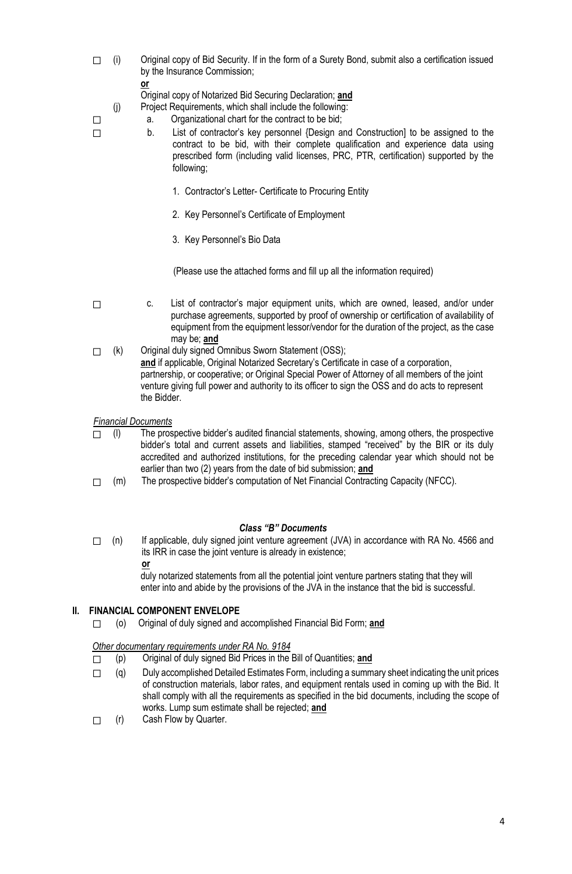- $\Box$  (i) Original copy of Bid Security. If in the form of a Surety Bond, submit also a certification issued by the Insurance Commission;
	- **or**

Original copy of Notarized Bid Securing Declaration; **and**

(j) Project Requirements, which shall include the following:

- $\Box$  a. Organizational chart for the contract to be bid;
- ⬜ b. List of contractor's key personnel {Design and Construction] to be assigned to the contract to be bid, with their complete qualification and experience data using prescribed form (including valid licenses, PRC, PTR, certification) supported by the following;
	- 1. Contractor's Letter- Certificate to Procuring Entity
	- 2. Key Personnel's Certificate of Employment
	- 3. Key Personnel's Bio Data

(Please use the attached forms and fill up all the information required)

- □ c. List of contractor's major equipment units, which are owned, leased, and/or under purchase agreements, supported by proof of ownership or certification of availability of equipment from the equipment lessor/vendor for the duration of the project, as the case may be; **and**
- ⬜ (k) Original duly signed Omnibus Sworn Statement (OSS); and if applicable, Original Notarized Secretary's Certificate in case of a corporation, partnership, or cooperative; or Original Special Power of Attorney of all members of the joint venture giving full power and authority to its officer to sign the OSS and do acts to represent the Bidder.

#### *Financial Documents*

 $\Box$  (I) The prospective bidder's audited financial statements, showing, among others, the prospective bidder's total and current assets and liabilities, stamped "received" by the BIR or its duly accredited and authorized institutions, for the preceding calendar year which should not be earlier than two (2) years from the date of bid submission; **and**

 $\Box$  (m) The prospective bidder's computation of Net Financial Contracting Capacity (NFCC).

#### *Class "B" Documents*

 $\Box$  (n) If applicable, duly signed joint venture agreement (JVA) in accordance with RA No. 4566 and its IRR in case the joint venture is already in existence; **or** 

duly notarized statements from all the potential joint venture partners stating that they will enter into and abide by the provisions of the JVA in the instance that the bid is successful.

#### **II. FINANCIAL COMPONENT ENVELOPE**

⬜ (o) Original of duly signed and accomplished Financial Bid Form; **and**

*Other documentary requirements under RA No. 9184*

- ⬜ (p) Original of duly signed Bid Prices in the Bill of Quantities; **and**
- $\Box$  (q) Duly accomplished Detailed Estimates Form, including a summary sheet indicating the unit prices of construction materials, labor rates, and equipment rentals used in coming up with the Bid. It shall comply with all the requirements as specified in the bid documents, including the scope of works. Lump sum estimate shall be rejected; **and**
- $\Box$  (r) Cash Flow by Quarter.